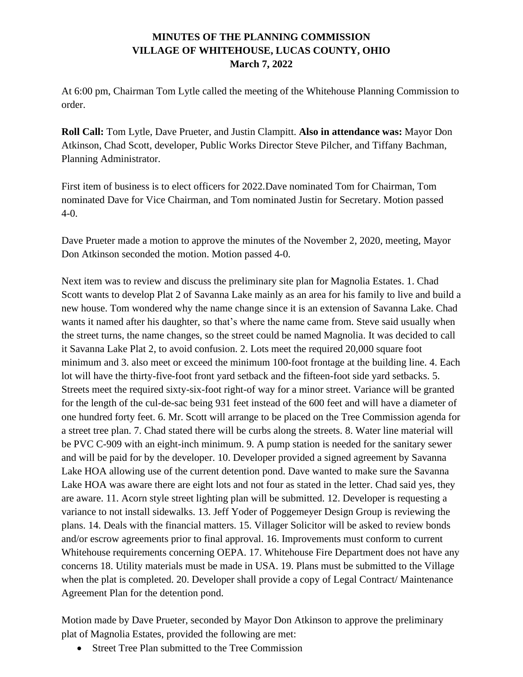## **MINUTES OF THE PLANNING COMMISSION VILLAGE OF WHITEHOUSE, LUCAS COUNTY, OHIO March 7, 2022**

At 6:00 pm, Chairman Tom Lytle called the meeting of the Whitehouse Planning Commission to order.

**Roll Call:** Tom Lytle, Dave Prueter, and Justin Clampitt. **Also in attendance was:** Mayor Don Atkinson, Chad Scott, developer, Public Works Director Steve Pilcher, and Tiffany Bachman, Planning Administrator.

First item of business is to elect officers for 2022.Dave nominated Tom for Chairman, Tom nominated Dave for Vice Chairman, and Tom nominated Justin for Secretary. Motion passed  $4-0.$ 

Dave Prueter made a motion to approve the minutes of the November 2, 2020, meeting, Mayor Don Atkinson seconded the motion. Motion passed 4-0.

Next item was to review and discuss the preliminary site plan for Magnolia Estates. 1. Chad Scott wants to develop Plat 2 of Savanna Lake mainly as an area for his family to live and build a new house. Tom wondered why the name change since it is an extension of Savanna Lake. Chad wants it named after his daughter, so that's where the name came from. Steve said usually when the street turns, the name changes, so the street could be named Magnolia. It was decided to call it Savanna Lake Plat 2, to avoid confusion. 2. Lots meet the required 20,000 square foot minimum and 3. also meet or exceed the minimum 100-foot frontage at the building line. 4. Each lot will have the thirty-five-foot front yard setback and the fifteen-foot side yard setbacks. 5. Streets meet the required sixty-six-foot right-of way for a minor street. Variance will be granted for the length of the cul-de-sac being 931 feet instead of the 600 feet and will have a diameter of one hundred forty feet. 6. Mr. Scott will arrange to be placed on the Tree Commission agenda for a street tree plan. 7. Chad stated there will be curbs along the streets. 8. Water line material will be PVC C-909 with an eight-inch minimum. 9. A pump station is needed for the sanitary sewer and will be paid for by the developer. 10. Developer provided a signed agreement by Savanna Lake HOA allowing use of the current detention pond. Dave wanted to make sure the Savanna Lake HOA was aware there are eight lots and not four as stated in the letter. Chad said yes, they are aware. 11. Acorn style street lighting plan will be submitted. 12. Developer is requesting a variance to not install sidewalks. 13. Jeff Yoder of Poggemeyer Design Group is reviewing the plans. 14. Deals with the financial matters. 15. Villager Solicitor will be asked to review bonds and/or escrow agreements prior to final approval. 16. Improvements must conform to current Whitehouse requirements concerning OEPA. 17. Whitehouse Fire Department does not have any concerns 18. Utility materials must be made in USA. 19. Plans must be submitted to the Village when the plat is completed. 20. Developer shall provide a copy of Legal Contract/ Maintenance Agreement Plan for the detention pond.

Motion made by Dave Prueter, seconded by Mayor Don Atkinson to approve the preliminary plat of Magnolia Estates, provided the following are met:

• Street Tree Plan submitted to the Tree Commission